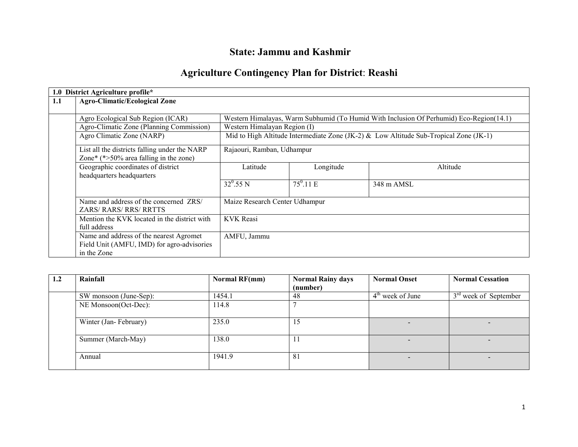# State: Jammu and Kashmir

## Agriculture Contingency Plan for District: Reashi

|     | 1.0 District Agriculture profile*             |                                                                                         |                    |            |  |  |  |  |
|-----|-----------------------------------------------|-----------------------------------------------------------------------------------------|--------------------|------------|--|--|--|--|
| 1.1 | <b>Agro-Climatic/Ecological Zone</b>          |                                                                                         |                    |            |  |  |  |  |
|     |                                               |                                                                                         |                    |            |  |  |  |  |
|     | Agro Ecological Sub Region (ICAR)             | Western Himalayas, Warm Subhumid (To Humid With Inclusion Of Perhumid) Eco-Region(14.1) |                    |            |  |  |  |  |
|     | Agro-Climatic Zone (Planning Commission)      | Western Himalayan Region (I)                                                            |                    |            |  |  |  |  |
|     | Agro Climatic Zone (NARP)                     | Mid to High Altitude Intermediate Zone (JK-2) & Low Altitude Sub-Tropical Zone (JK-1)   |                    |            |  |  |  |  |
|     | List all the districts falling under the NARP | Rajaouri, Ramban, Udhampur                                                              |                    |            |  |  |  |  |
|     | Zone* $(*>50\%$ area falling in the zone)     |                                                                                         |                    |            |  |  |  |  |
|     | Geographic coordinates of district            | Longitude<br>Latitude<br>Altitude                                                       |                    |            |  |  |  |  |
|     | headquarters headquarters                     |                                                                                         |                    |            |  |  |  |  |
|     |                                               | $32^{\circ}$ .55 N                                                                      | $75^{\circ}$ .11 E | 348 m AMSL |  |  |  |  |
|     |                                               |                                                                                         |                    |            |  |  |  |  |
|     | Name and address of the concerned ZRS/        | Maize Research Center Udhampur                                                          |                    |            |  |  |  |  |
|     | <b>ZARS/ RARS/ RRS/ RRTTS</b>                 |                                                                                         |                    |            |  |  |  |  |
|     | Mention the KVK located in the district with  | <b>KVK</b> Reasi                                                                        |                    |            |  |  |  |  |
|     | full address                                  |                                                                                         |                    |            |  |  |  |  |
|     | Name and address of the nearest Agromet       | AMFU, Jammu                                                                             |                    |            |  |  |  |  |
|     | Field Unit (AMFU, IMD) for agro-advisories    |                                                                                         |                    |            |  |  |  |  |
|     | in the Zone                                   |                                                                                         |                    |            |  |  |  |  |

| 1.2 | Rainfall               | Normal RF(mm) | <b>Normal Rainy days</b> | <b>Normal Onset</b>      | <b>Normal Cessation</b>  |
|-----|------------------------|---------------|--------------------------|--------------------------|--------------------------|
|     |                        |               | (number)                 |                          |                          |
|     | SW monsoon (June-Sep): | 1454.1        | 48                       | $4th$ week of June       | $3rd$ week of September  |
|     | NE Monsoon(Oct-Dec):   | 114.8         |                          |                          |                          |
|     | Winter (Jan-February)  | 235.0         | 15                       | $\overline{\phantom{0}}$ | $\overline{\phantom{0}}$ |
|     | Summer (March-May)     | 138.0         | 11                       |                          | $\overline{\phantom{0}}$ |
|     | Annual                 | 1941.9        | 81                       | $\overline{\phantom{a}}$ | $\overline{\phantom{0}}$ |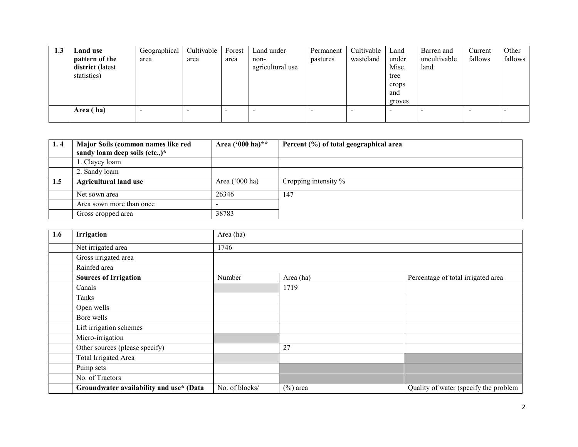| 1.3 | Land use         | Geographical | Cultivable | Forest                   | Land under       | Permanent | Cultivable | Land   | Barren and   | Current | Other   |
|-----|------------------|--------------|------------|--------------------------|------------------|-----------|------------|--------|--------------|---------|---------|
|     | pattern of the   | area         | area       | area                     | non-             | pastures  | wasteland  | under  | uncultivable | fallows | fallows |
|     | district (latest |              |            |                          | agricultural use |           |            | Misc.  | land         |         |         |
|     | statistics)      |              |            |                          |                  |           |            | tree   |              |         |         |
|     |                  |              |            |                          |                  |           |            | crops  |              |         |         |
|     |                  |              |            |                          |                  |           |            | and    |              |         |         |
|     |                  |              |            |                          |                  |           |            | groves |              |         |         |
|     | Area (ha)        | -            |            | $\overline{\phantom{0}}$ |                  |           |            |        |              |         |         |
|     |                  |              |            |                          |                  |           |            |        |              |         |         |

| 1.4 | Major Soils (common names like red<br>sandy loam deep soils (etc.,)* | Area $(900 \text{ ha})**$ | Percent (%) of total geographical area |
|-----|----------------------------------------------------------------------|---------------------------|----------------------------------------|
|     | 1. Clayey loam                                                       |                           |                                        |
|     | 2. Sandy loam                                                        |                           |                                        |
| 1.5 | <b>Agricultural land use</b>                                         | Area $('000 ha)$          | Cropping intensity %                   |
|     | Net sown area                                                        | 26346                     | 147                                    |
|     | Area sown more than once                                             | $\overline{\phantom{0}}$  |                                        |
|     | Gross cropped area                                                   | 38783                     |                                        |

| 1.6 | Irrigation                              | Area (ha)      |             |                                       |  |  |  |  |
|-----|-----------------------------------------|----------------|-------------|---------------------------------------|--|--|--|--|
|     | Net irrigated area                      | 1746           |             |                                       |  |  |  |  |
|     | Gross irrigated area                    |                |             |                                       |  |  |  |  |
|     | Rainfed area                            |                |             |                                       |  |  |  |  |
|     | <b>Sources of Irrigation</b>            | Number         | Area (ha)   | Percentage of total irrigated area    |  |  |  |  |
|     | Canals                                  |                | 1719        |                                       |  |  |  |  |
|     | Tanks                                   |                |             |                                       |  |  |  |  |
|     | Open wells                              |                |             |                                       |  |  |  |  |
|     | Bore wells                              |                |             |                                       |  |  |  |  |
|     | Lift irrigation schemes                 |                |             |                                       |  |  |  |  |
|     | Micro-irrigation                        |                |             |                                       |  |  |  |  |
|     | Other sources (please specify)          |                | 27          |                                       |  |  |  |  |
|     | <b>Total Irrigated Area</b>             |                |             |                                       |  |  |  |  |
|     | Pump sets                               |                |             |                                       |  |  |  |  |
|     | No. of Tractors                         |                |             |                                       |  |  |  |  |
|     | Groundwater availability and use* (Data | No. of blocks/ | $(\%)$ area | Quality of water (specify the problem |  |  |  |  |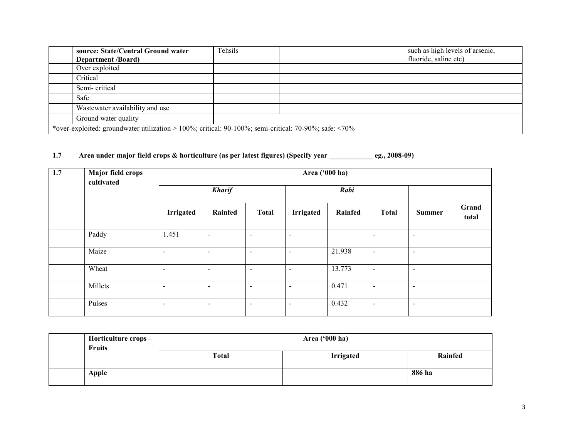| source: State/Central Ground water                                                                           | Tehsils | such as high levels of arsenic, |
|--------------------------------------------------------------------------------------------------------------|---------|---------------------------------|
| <b>Department /Board)</b>                                                                                    |         | fluoride, saline etc)           |
| Over exploited                                                                                               |         |                                 |
| Critical                                                                                                     |         |                                 |
| Semi-critical                                                                                                |         |                                 |
| Safe                                                                                                         |         |                                 |
| Wastewater availability and use                                                                              |         |                                 |
| Ground water quality                                                                                         |         |                                 |
| *over-exploited: groundwater utilization > 100%; critical: 90-100%; semi-critical: 70-90%; safe: $\leq 70\%$ |         |                                 |

### 1.7 Area under major field crops & horticulture (as per latest figures) (Specify year \_\_\_\_\_\_\_\_\_\_\_\_ eg., 2008-09)

| 1.7 | <b>Major field crops</b><br>cultivated | Area ('000 ha) |                          |                          |                          |         |                          |                          |                |
|-----|----------------------------------------|----------------|--------------------------|--------------------------|--------------------------|---------|--------------------------|--------------------------|----------------|
|     |                                        |                | <b>Kharif</b>            |                          |                          | Rabi    |                          |                          |                |
|     |                                        | Irrigated      | Rainfed                  | <b>Total</b>             | <b>Irrigated</b>         | Rainfed | <b>Total</b>             | <b>Summer</b>            | Grand<br>total |
|     | Paddy                                  | 1.451          | $\sim$                   | $\overline{\phantom{0}}$ | $\sim$                   |         | $\blacksquare$           | $\overline{\phantom{a}}$ |                |
|     | Maize                                  | $\blacksquare$ | $\overline{\phantom{a}}$ | $\overline{\phantom{0}}$ | $\overline{\phantom{a}}$ | 21.938  | $\blacksquare$           | $\overline{\phantom{a}}$ |                |
|     | Wheat                                  | $\blacksquare$ | $\sim$                   | $\blacksquare$           | $\sim$                   | 13.773  | $\blacksquare$           | $\sim$                   |                |
|     | Millets                                | $\blacksquare$ | $\overline{\phantom{a}}$ | $\blacksquare$           | $\overline{\phantom{a}}$ | 0.471   | $\blacksquare$           | $\overline{\phantom{a}}$ |                |
|     | Pulses                                 | $\blacksquare$ | $\overline{\phantom{a}}$ | $\overline{\phantom{0}}$ | $\blacksquare$           | 0.432   | $\overline{\phantom{0}}$ | $\overline{\phantom{a}}$ |                |

| Horticulture crops –<br><b>Fruits</b> | Area ('000 ha) |                  |         |  |  |
|---------------------------------------|----------------|------------------|---------|--|--|
|                                       | <b>Total</b>   | <b>Irrigated</b> | Rainfed |  |  |
| <b>Apple</b>                          |                |                  | 886 ha  |  |  |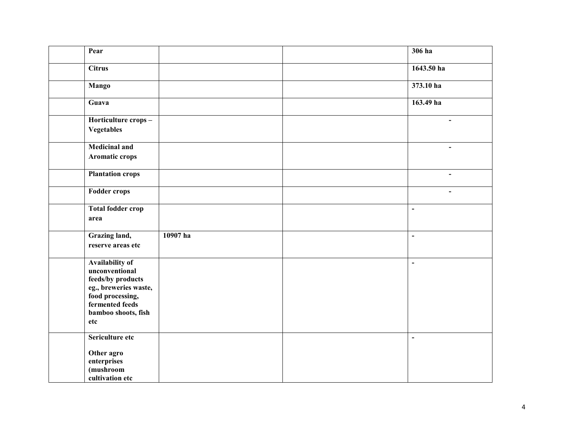| Pear                                                                                                                                                        |          | $306$ ha       |
|-------------------------------------------------------------------------------------------------------------------------------------------------------------|----------|----------------|
| <b>Citrus</b>                                                                                                                                               |          | 1643.50 ha     |
| <b>Mango</b>                                                                                                                                                |          | 373.10 ha      |
| Guava                                                                                                                                                       |          | 163.49 ha      |
| Horticulture crops-<br><b>Vegetables</b>                                                                                                                    |          | $\blacksquare$ |
| <b>Medicinal and</b><br><b>Aromatic crops</b>                                                                                                               |          | $\blacksquare$ |
| <b>Plantation crops</b>                                                                                                                                     |          | $\blacksquare$ |
| <b>Fodder crops</b>                                                                                                                                         |          | L.             |
| Total fodder crop<br>area                                                                                                                                   |          | $\blacksquare$ |
| Grazing land,<br>reserve areas etc                                                                                                                          | 10907 ha | $\blacksquare$ |
| <b>Availability of</b><br>unconventional<br>feeds/by products<br>eg., breweries waste,<br>food processing,<br>fermented feeds<br>bamboo shoots, fish<br>etc |          | $\blacksquare$ |
| Sericulture etc<br>Other agro<br>enterprises<br>(mushroom<br>cultivation etc                                                                                |          | $\frac{1}{2}$  |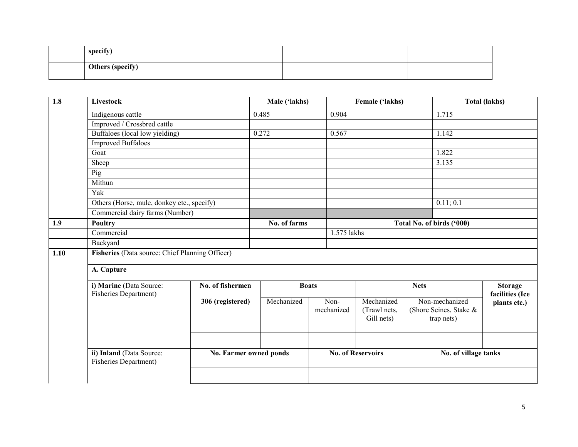| specify)                |  |  |
|-------------------------|--|--|
| <b>Others (specify)</b> |  |  |

| 1.8  | <b>Livestock</b>                                  |                        | Male ('lakhs) |                           |                    | Female ('lakhs)                          |             |                                                        | <b>Total (lakhs)</b>              |
|------|---------------------------------------------------|------------------------|---------------|---------------------------|--------------------|------------------------------------------|-------------|--------------------------------------------------------|-----------------------------------|
|      | Indigenous cattle                                 |                        | 0.485         |                           | 0.904              |                                          |             | 1.715                                                  |                                   |
|      | Improved / Crossbred cattle                       |                        |               |                           |                    |                                          |             |                                                        |                                   |
|      | Buffaloes (local low yielding)                    |                        | 0.272         |                           | 0.567              |                                          |             | 1.142                                                  |                                   |
|      | <b>Improved Buffaloes</b>                         |                        |               |                           |                    |                                          |             |                                                        |                                   |
|      | Goat                                              |                        |               |                           |                    |                                          |             | 1.822                                                  |                                   |
|      | Sheep                                             |                        |               |                           |                    |                                          |             | 3.135                                                  |                                   |
|      | Pig                                               |                        |               |                           |                    |                                          |             |                                                        |                                   |
|      | Mithun                                            |                        |               |                           |                    |                                          |             |                                                        |                                   |
|      | Yak                                               |                        |               |                           |                    |                                          |             |                                                        |                                   |
|      | Others (Horse, mule, donkey etc., specify)        |                        |               |                           |                    |                                          |             | 0.11; 0.1                                              |                                   |
|      | Commercial dairy farms (Number)                   |                        |               |                           |                    |                                          |             |                                                        |                                   |
| 1.9  | <b>Poultry</b>                                    |                        | No. of farms  | Total No. of birds ('000) |                    |                                          |             |                                                        |                                   |
|      | Commercial                                        |                        |               |                           |                    | 1.575 lakhs                              |             |                                                        |                                   |
|      | Backyard                                          |                        |               |                           |                    |                                          |             |                                                        |                                   |
| 1.10 | Fisheries (Data source: Chief Planning Officer)   |                        |               |                           |                    |                                          |             |                                                        |                                   |
|      | A. Capture                                        |                        |               |                           |                    |                                          |             |                                                        |                                   |
|      | i) Marine (Data Source:<br>Fisheries Department)  | No. of fishermen       |               | <b>Boats</b>              |                    |                                          | <b>Nets</b> |                                                        | <b>Storage</b><br>facilities (Ice |
|      |                                                   | 306 (registered)       | Mechanized    |                           | Non-<br>mechanized | Mechanized<br>(Trawl nets,<br>Gill nets) |             | Non-mechanized<br>(Shore Seines, Stake &<br>trap nets) | plants etc.)                      |
|      |                                                   |                        |               |                           |                    |                                          |             |                                                        |                                   |
|      | ii) Inland (Data Source:<br>Fisheries Department) | No. Farmer owned ponds |               |                           |                    | <b>No. of Reservoirs</b>                 |             | No. of village tanks                                   |                                   |
|      |                                                   |                        |               |                           |                    |                                          |             |                                                        |                                   |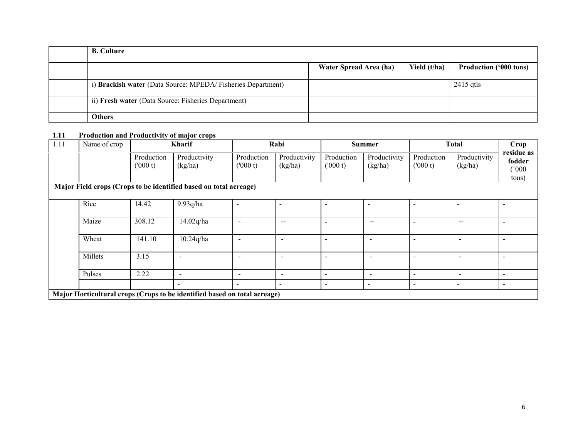| <b>B.</b> Culture                                           |                        |              |                               |
|-------------------------------------------------------------|------------------------|--------------|-------------------------------|
|                                                             | Water Spread Area (ha) | Yield (t/ha) | <b>Production ('000 tons)</b> |
| i) Brackish water (Data Source: MPEDA/Fisheries Department) |                        |              | $2415$ gtls                   |
| ii) Fresh water (Data Source: Fisheries Department)         |                        |              |                               |
| <b>Others</b>                                               |                        |              |                               |

#### 1.11 Production and Productivity of major crops

| 1.11 | Name of crop                                                              | Kharif                |                                                                   | Rabi                     |                                       | <b>Summer</b>            |                          | <b>Total</b>             |                                                | Crop                                   |
|------|---------------------------------------------------------------------------|-----------------------|-------------------------------------------------------------------|--------------------------|---------------------------------------|--------------------------|--------------------------|--------------------------|------------------------------------------------|----------------------------------------|
|      |                                                                           | Production<br>(000 t) | Productivity<br>(kg/ha)                                           | Production<br>(000 t)    | Productivity<br>(kg/ha)               | Production<br>(000 t)    | Productivity<br>(kg/ha)  | Production<br>(000 t)    | Productivity<br>(kg/ha)                        | residue as<br>fodder<br>(000)<br>tons) |
|      |                                                                           |                       | Major Field crops (Crops to be identified based on total acreage) |                          |                                       |                          |                          |                          |                                                |                                        |
|      | Rice                                                                      | 14.42                 | 9.93q/ha                                                          | $\overline{\phantom{0}}$ | $\overline{\phantom{a}}$              |                          |                          | $\overline{\phantom{a}}$ | ٠                                              |                                        |
|      | Maize                                                                     | 308.12                | 14.02q/ha                                                         |                          | $\hspace{0.05cm}$ – $\hspace{0.05cm}$ | $\overline{\phantom{a}}$ | --                       | $\overline{\phantom{0}}$ | $\hspace{0.1mm}-\hspace{0.1mm}-\hspace{0.1mm}$ |                                        |
|      | Wheat                                                                     | 141.10                | 10.24q/ha                                                         | ٠                        | $\overline{\phantom{a}}$              |                          |                          | $\overline{\phantom{0}}$ | $\overline{\phantom{0}}$                       |                                        |
|      | Millets                                                                   | 3.15                  |                                                                   |                          | $\overline{\phantom{a}}$              |                          |                          |                          | $\overline{\phantom{0}}$                       |                                        |
|      | Pulses                                                                    | 2.22                  | $\overline{\phantom{a}}$                                          | $\overline{\phantom{a}}$ | $\overline{\phantom{0}}$              | $\,$                     | $\overline{\phantom{a}}$ | $\overline{\phantom{0}}$ | -                                              |                                        |
|      |                                                                           |                       |                                                                   |                          | $\qquad \qquad \blacksquare$          | $\,$                     |                          | $\,$                     | $\overline{\phantom{a}}$                       | $\overline{\phantom{a}}$               |
|      | Major Horticultural crops (Crops to be identified based on total acreage) |                       |                                                                   |                          |                                       |                          |                          |                          |                                                |                                        |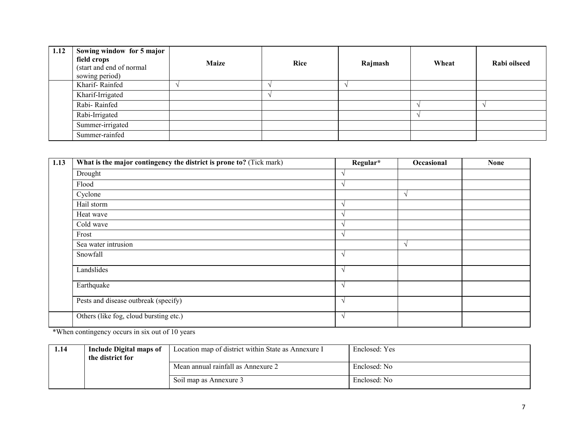| 1.12 | Sowing window for 5 major<br>field crops<br>(start and end of normal<br>sowing period) | <b>Maize</b> | Rice | Rajmash | Wheat | Rabi oilseed |
|------|----------------------------------------------------------------------------------------|--------------|------|---------|-------|--------------|
|      | Kharif-Rainfed                                                                         |              |      |         |       |              |
|      | Kharif-Irrigated                                                                       |              |      |         |       |              |
|      | Rabi-Rainfed                                                                           |              |      |         |       |              |
|      | Rabi-Irrigated                                                                         |              |      |         |       |              |
|      | Summer-irrigated                                                                       |              |      |         |       |              |
|      | Summer-rainfed                                                                         |              |      |         |       |              |

| 1.13 | What is the major contingency the district is prone to? (Tick mark) | Regular*   | Occasional    | <b>None</b> |
|------|---------------------------------------------------------------------|------------|---------------|-------------|
|      | Drought                                                             | $\lambda$  |               |             |
|      | Flood                                                               | $\sqrt{ }$ |               |             |
|      | Cyclone                                                             |            |               |             |
|      | Hail storm                                                          | $\sqrt{ }$ |               |             |
|      | Heat wave                                                           | $\Delta$   |               |             |
|      | Cold wave                                                           | $\lambda$  |               |             |
|      | Frost                                                               | $\sqrt{ }$ |               |             |
|      | Sea water intrusion                                                 |            | $\mathcal{N}$ |             |
|      | Snowfall                                                            | $\sqrt{ }$ |               |             |
|      | Landslides                                                          | $\sqrt{ }$ |               |             |
|      | Earthquake                                                          | $\sqrt{ }$ |               |             |
|      | Pests and disease outbreak (specify)                                | $\sqrt{ }$ |               |             |
|      | Others (like fog, cloud bursting etc.)                              | $\sqrt{ }$ |               |             |

\*When contingency occurs in six out of 10 years

| 1.14 | Include Digital maps of<br>the district for | Location map of district within State as Annexure I | Enclosed: Yes |
|------|---------------------------------------------|-----------------------------------------------------|---------------|
|      |                                             | Mean annual rainfall as Annexure 2                  | Enclosed: No  |
|      |                                             | Soil map as Annexure 3                              | Enclosed: No  |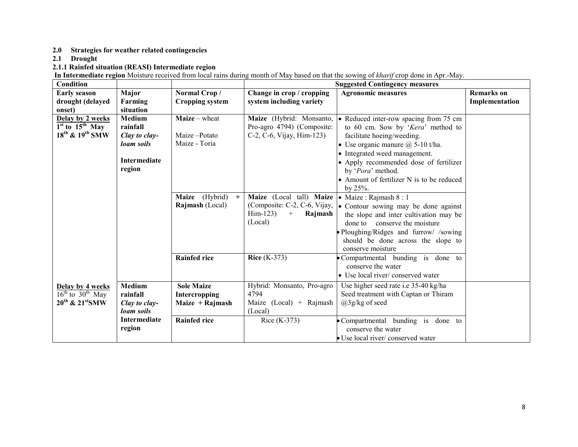2.0 Strategies for weather related contingencies

2.1 Drought

2.1.1 Rainfed situation (REASI) Intermediate region<br>In Intermediate region Moisture received from local rains during month of May based on that the sowing of *kharif* crop done in Apr.-May.

| Condition                               |                     |                       |                                                                               | <b>Suggested Contingency measures</b>                              |                   |
|-----------------------------------------|---------------------|-----------------------|-------------------------------------------------------------------------------|--------------------------------------------------------------------|-------------------|
| <b>Early season</b>                     | Major               | Normal Crop/          | Change in crop / cropping                                                     | <b>Agronomic measures</b>                                          | <b>Remarks</b> on |
| drought (delayed                        | Farming             | Cropping system       | system including variety                                                      |                                                                    | Implementation    |
| onset)                                  | situation           |                       |                                                                               |                                                                    |                   |
| Delay by 2 weeks                        | <b>Medium</b>       | <b>Maize</b> – wheat  | Maize (Hybrid: Monsanto,                                                      | • Reduced inter-row spacing from 75 cm                             |                   |
| $1st$ to $15th$ May                     | rainfall            |                       | Pro-agro 4794) (Composite:                                                    | to 60 cm. Sow by 'Kera' method to                                  |                   |
| 18 <sup>th</sup> & 19 <sup>th</sup> SMW | Clay to clay-       | Maize-Potato          | C-2, C-6, Vijay, Him-123)                                                     | facilitate hoeing/weeding.                                         |                   |
|                                         | loam soils          | Maize - Toria         |                                                                               | • Use organic manure $@$ 5-10 t/ha.                                |                   |
|                                         |                     |                       |                                                                               | • Integrated weed management.                                      |                   |
|                                         | <b>Intermediate</b> |                       |                                                                               | • Apply recommended dose of fertilizer                             |                   |
|                                         | region              |                       |                                                                               | by 'Pora' method.                                                  |                   |
|                                         |                     |                       |                                                                               | • Amount of fertilizer N is to be reduced                          |                   |
|                                         |                     |                       |                                                                               | by 25%.                                                            |                   |
|                                         |                     | Maize (Hybrid)<br>$+$ | <b>Maize</b> (Local tall) <b>Maize</b> $\bullet$ <b>Maize</b> : Rajmash 8 : 1 |                                                                    |                   |
|                                         |                     | Rajmash (Local)       |                                                                               | (Composite: C-2, C-6, Vijay,  . Contour sowing may be done against |                   |
|                                         |                     |                       | $Him-123$<br>$^{+}$<br>Rajmash                                                | the slope and inter cultivation may be                             |                   |
|                                         |                     |                       | (Local)                                                                       | done to conserve the moisture                                      |                   |
|                                         |                     |                       |                                                                               | Ploughing/Ridges and furrow/ /sowing                               |                   |
|                                         |                     |                       |                                                                               | should be done across the slope to                                 |                   |
|                                         |                     |                       |                                                                               | conserve moisture                                                  |                   |
|                                         |                     | <b>Rainfed rice</b>   | Rice $(K-373)$                                                                | Compartmental bunding is done to                                   |                   |
|                                         |                     |                       |                                                                               | conserve the water                                                 |                   |
|                                         |                     |                       |                                                                               | • Use local river/conserved water                                  |                   |
| Delay by 4 weeks                        | <b>Medium</b>       | <b>Sole Maize</b>     | Hybrid: Monsanto, Pro-agro                                                    | Use higher seed rate i.e 35-40 kg/ha                               |                   |
| $16^{th}$ to $30^{th}$ May              | rainfall            | Intercropping         | 4794                                                                          | Seed treatment with Captan or Thiram                               |                   |
| $20^{th}$ & $21^{st}$ SMW               | Clay to clay-       | Maize $+$ Rajmash     | Maize $(Local) + Rajmash$                                                     | $(a)$ 3g/kg of seed                                                |                   |
|                                         | loam soils          |                       | (Local)                                                                       |                                                                    |                   |
|                                         | <b>Intermediate</b> | <b>Rainfed rice</b>   | Rice $(K-373)$                                                                | Compartmental bunding is done to                                   |                   |
|                                         | region              |                       |                                                                               | conserve the water                                                 |                   |
|                                         |                     |                       |                                                                               | • Use local river/ conserved water                                 |                   |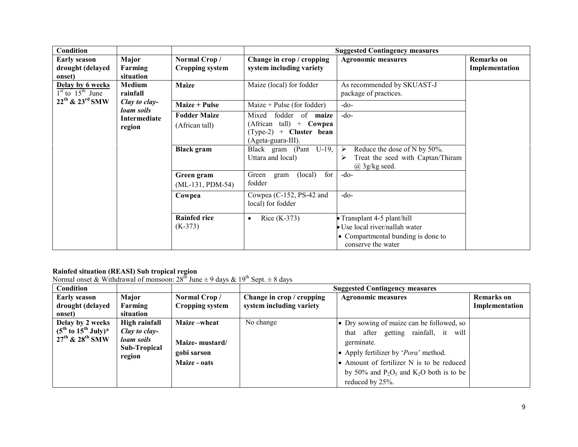| Condition                                         |                                    |                                       |                                                                                                                            | <b>Suggested Contingency measures</b>                                                                                   |                                     |
|---------------------------------------------------|------------------------------------|---------------------------------------|----------------------------------------------------------------------------------------------------------------------------|-------------------------------------------------------------------------------------------------------------------------|-------------------------------------|
| <b>Early season</b><br>drought (delayed<br>onset) | Major<br>Farming<br>situation      | Normal Crop/<br>Cropping system       | Change in crop / cropping<br>system including variety                                                                      | <b>Agronomic measures</b>                                                                                               | <b>Remarks</b> on<br>Implementation |
| Delay by 6 weeks<br>$1st$ to $15th$ June          | <b>Medium</b><br>rainfall          | <b>Maize</b>                          | Maize (local) for fodder                                                                                                   | As recommended by SKUAST-J<br>package of practices.                                                                     |                                     |
| $22^{th}$ & $23^{rd}$ SMW                         | Clay to clay-<br><i>loam soils</i> | <b>Maize + Pulse</b>                  | Maize + Pulse (for fodder)                                                                                                 | $-do-$                                                                                                                  |                                     |
|                                                   | Intermediate<br>region             | <b>Fodder Maize</b><br>(African tall) | fodder of<br>Mixed<br>maize<br>$(A$ frican tall) + Cowpea<br>$(\text{Type-2}) + \text{Cluster bean}$<br>(Ageta-guara-III). | $-do-$                                                                                                                  |                                     |
|                                                   |                                    | <b>Black</b> gram                     | Black gram (Pant U-19,<br>Uttara and local)                                                                                | Reduce the dose of N by 50%.<br>➤<br>Treat the seed with Captan/Thiram<br>≻<br>$(a)$ 3g/kg seed.                        |                                     |
|                                                   |                                    | Green gram<br>$(ML-131, PDM-54)$      | for<br>Green<br>(local)<br>gram<br>fodder                                                                                  | $-do-$                                                                                                                  |                                     |
|                                                   |                                    | Cowpea                                | Cowpea $(C-152, PS-42$ and<br>local) for fodder                                                                            | $-do-$                                                                                                                  |                                     |
|                                                   |                                    | <b>Rainfed rice</b><br>$(K-373)$      | Rice $(K-373)$<br>$\bullet$                                                                                                | Transplant 4-5 plant/hill<br>• Use local river/nallah water<br>• Compartmental bunding is done to<br>conserve the water |                                     |

**Rainfed situation (REASI) Sub tropical region**<br>Normal onset & Withdrawal of monsoon: 28<sup>th</sup> June ± 9 days & 19<sup>th</sup> Sept. ± 8 days

| <b>Condition</b>                            |                               |                 |                           | <b>Suggested Contingency measures</b>         |                   |
|---------------------------------------------|-------------------------------|-----------------|---------------------------|-----------------------------------------------|-------------------|
| <b>Early season</b>                         | Major                         | Normal Crop/    | Change in crop / cropping | <b>Agronomic measures</b>                     | <b>Remarks</b> on |
| drought (delayed                            | Farming                       | Cropping system | system including variety  |                                               | Implementation    |
| onset)                                      | situation                     |                 |                           |                                               |                   |
| Delay by 2 weeks                            | High rainfall                 | Maize-wheat     | No change                 | • Dry sowing of maize can be followed, so     |                   |
| $(5^{\text{th}}$ to $15^{\text{th}}$ July)* | Clay to clay-                 |                 |                           | after getting rainfall, it will<br>that       |                   |
| $27^{\text{th}}$ & $28^{\text{th}}$ SMW     | loam soils                    | Maize- mustard/ |                           | germinate.                                    |                   |
|                                             | <b>Sub-Tropical</b><br>region | gobi sarson     |                           | • Apply fertilizer by ' <i>Pora</i> ' method. |                   |
|                                             |                               | Maize - oats    |                           | • Amount of fertilizer N is to be reduced     |                   |
|                                             |                               |                 |                           | by 50% and $P_2O_5$ and $K_2O$ both is to be  |                   |
|                                             |                               |                 |                           | reduced by 25%.                               |                   |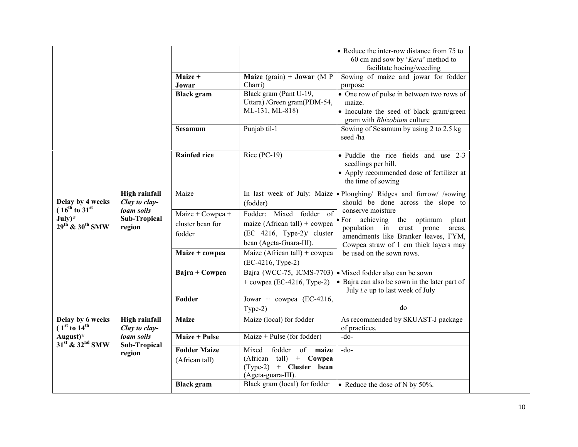|                                                                  |                                             |                                                |                                                                                                                     | • Reduce the inter-row distance from 75 to<br>60 cm and sow by 'Kera' method to<br>facilitate hoeing/weeding                                                                    |  |
|------------------------------------------------------------------|---------------------------------------------|------------------------------------------------|---------------------------------------------------------------------------------------------------------------------|---------------------------------------------------------------------------------------------------------------------------------------------------------------------------------|--|
|                                                                  |                                             | Maize +<br>Jowar                               | <b>Maize</b> (grain) + <b>Jowar</b> (M P)<br>Charri)                                                                | Sowing of maize and jowar for fodder<br>purpose                                                                                                                                 |  |
|                                                                  |                                             | <b>Black</b> gram                              | Black gram (Pant U-19,<br>Uttara) /Green gram(PDM-54,<br>ML-131, ML-818)                                            | • One row of pulse in between two rows of<br>maize.<br>• Inoculate the seed of black gram/green<br>gram with Rhizobium culture                                                  |  |
|                                                                  |                                             | Sesamum                                        | Punjab til-1                                                                                                        | Sowing of Sesamum by using 2 to 2.5 kg<br>seed /ha                                                                                                                              |  |
|                                                                  |                                             | <b>Rainfed rice</b>                            | Rice (PC-19)                                                                                                        | • Puddle the rice fields and use 2-3<br>seedlings per hill.<br>• Apply recommended dose of fertilizer at<br>the time of sowing                                                  |  |
| Delay by 4 weeks                                                 | <b>High rainfall</b><br>Clay to clay-       | Maize                                          | In last week of July: Maize<br>(fodder)                                                                             | Ploughing/ Ridges and furrow/ /sowing<br>should be done across the slope to                                                                                                     |  |
| $(16^{th}$ to $31^{st}$<br>$July)*$<br>$29^{th}$ & $30^{th}$ SMW | loam soils<br><b>Sub-Tropical</b><br>region | Maize + Cowpea +<br>cluster bean for<br>fodder | Fodder: Mixed fodder of<br>maize (African tall) + cowpea<br>$(EC 4216, Type-2)/$ cluster<br>bean (Ageta-Guara-III). | conserve moisture<br>For achieving the optimum<br>plant<br>population in crust prone<br>areas.<br>amendments like Branker leaves, FYM,<br>Cowpea straw of 1 cm thick layers may |  |
|                                                                  |                                             | Maize + cowpea                                 | Maize (African tall) + cowpea<br>(EC-4216, Type-2)                                                                  | be used on the sown rows.                                                                                                                                                       |  |
|                                                                  |                                             | Bajra + Cowpea                                 | $+$ cowpea (EC-4216, Type-2)                                                                                        | Bajra (WCC-75, ICMS-7703) Mixed fodder also can be sown<br>Bajra can also be sown in the later part of<br>July <i>i.e</i> up to last week of July                               |  |
|                                                                  |                                             | Fodder                                         | Jowar + cowpea (EC-4216,<br>$Type-2)$                                                                               | do                                                                                                                                                                              |  |
| Delay by 6 weeks<br>(1 <sup>st</sup> to 14 <sup>th</sup> )       | High rainfall<br>Clay to clay-              | <b>Maize</b>                                   | Maize (local) for fodder                                                                                            | As recommended by SKUAST-J package<br>of practices.                                                                                                                             |  |
| August $)^*$<br>$31st$ & $32nd$ SMW                              | loam soils<br>Sub-Tropical                  | <b>Maize + Pulse</b>                           | Maize + Pulse (for fodder)                                                                                          | $-do-$                                                                                                                                                                          |  |
|                                                                  | region                                      | <b>Fodder Maize</b><br>(African tall)          | fodder<br>of maize<br>Mixed<br>(African tall) + Cowpea<br>$(Type-2)$ + Cluster bean<br>(Ageta-guara-III).           | $-do$                                                                                                                                                                           |  |
|                                                                  |                                             | <b>Black</b> gram                              | Black gram (local) for fodder                                                                                       | • Reduce the dose of N by 50%.                                                                                                                                                  |  |